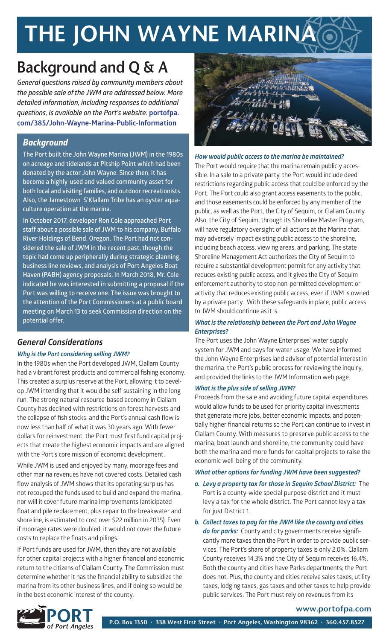# THE JOHN WAYNE MARINA

### Background and Q & A

*General questions raised by community members about the possible sale of the JWM are addressed below. More detailed information, including responses to additional questions, is available on the Port's website:* **portofpa. com/385/John-Wayne-Marina-Public-Information**

#### *Background*

**The Port built the John Wayne Marina (JWM) in the 1980s on acreage and tidelands at Pitship Point which had been donated by the actor John Wayne. Since then, it has become a highly-used and valued community asset for both local and visiting families, and outdoor recreationists. Also, the Jamestown S'Klallam Tribe has an oyster aquaculture operation at the marina.** 

**In October 2017, developer Ron Cole approached Port staff about a possible sale of JWM to his company, Buffalo River Holdings of Bend, Oregon. The Port had not considered the sale of JWM in the recent past, though the topic had come up peripherally during strategic planning, business line reviews, and analysis of Port Angeles Boat Haven (PABH) agency proposals. In March 2018, Mr. Cole indicated he was interested in submitting a proposal if the Port was willing to receive one. The issue was brought to the attention of the Port Commissioners at a public board meeting on March 13 to seek Commission direction on the potential offer.**

#### *General Considerations*

#### *Why is the Port considering selling JWM?*

In the 1980s when the Port developed JWM, Clallam County had a vibrant forest products and commercial fishing economy. This created a surplus reserve at the Port, allowing it to develop JWM intending that it would be self-sustaining in the long run. The strong natural resource-based economy in Clallam County has declined with restrictions on forest harvests and the collapse of fish stocks, and the Port's annual cash flow is now less than half of what it was 30 years ago. With fewer dollars for reinvestment, the Port must first fund capital projects that create the highest economic impacts and are aligned with the Port's core mission of economic development.

While JWM is used and enjoyed by many, moorage fees and other marina revenues have not covered costs. Detailed cash flow analysis of JWM shows that its operating surplus has not recouped the funds used to build and expand the marina, nor will it cover future marina improvements (anticipated float and pile replacement, plus repair to the breakwater and shoreline, is estimated to cost over \$22 million in 2035). Even if moorage rates were doubled, it would not cover the future costs to replace the floats and pilings.

If Port funds are used for JWM, then they are not available for other capital projects with a higher financial and economic return to the citizens of Clallam County. The Commission must determine whether it has the financial ability to subsidize the marina from its other business lines, and if doing so would be in the best economic interest of the county.



#### *How would public access to the marina be maintained?*

The Port would require that the marina remain publicly accessible. In a sale to a private party, the Port would include deed restrictions regarding public access that could be enforced by the Port. The Port could also grant access easements to the public, and those easements could be enforced by any member of the public, as well as the Port, the City of Sequim, or Clallam County. Also, the City of Sequim, through its Shoreline Master Program, will have regulatory oversight of all actions at the Marina that may adversely impact existing public access to the shoreline, including beach access, viewing areas, and parking. The state Shoreline Management Act authorizes the City of Sequim to require a substantial development permit for any activity that reduces existing public access, and it gives the City of Sequim enforcement authority to stop non-permitted development or activity that reduces existing public access, even if JWM is owned by a private party. With these safeguards in place, public access to JWM should continue as it is.

#### *What is the relationship between the Port and John Wayne Enterprises?*

The Port uses the John Wayne Enterprises' water supply system for JWM and pays for water usage. We have informed the John Wayne Enterprises land advisor of potential interest in the marina, the Port's public process for reviewing the inquiry, and provided the links to the JWM Information web page.

#### *What is the plus side of selling JWM?*

Proceeds from the sale and avoiding future capital expenditures would allow funds to be used for priority capital investments that generate more jobs, better economic impacts, and potentially higher financial returns so the Port can continue to invest in Clallam County. With measures to preserve public access to the marina, boat launch and shoreline, the community could have both the marina and more funds for capital projects to raise the economic well-being of the community.

#### *What other options for funding JWM have been suggested?*

*a. Levy a property tax for those in Sequim School District:* The Port is a county-wide special purpose district and it must levy a tax for the whole district. The Port cannot levy a tax for just District 1.

*b. Collect taxes to pay for the JWM like the county and cities do for parks:* County and city governments receive significantly more taxes than the Port in order to provide public services. The Port's share of property taxes is only 2.0%. Clallam County receives 14.3% and the City of Sequim receives 16.4%. Both the county and cities have Parks departments; the Port does not. Plus, the county and cities receive sales taxes, utility taxes, lodging taxes, gas taxes and other taxes to help provide public services. The Port must rely on revenues from its